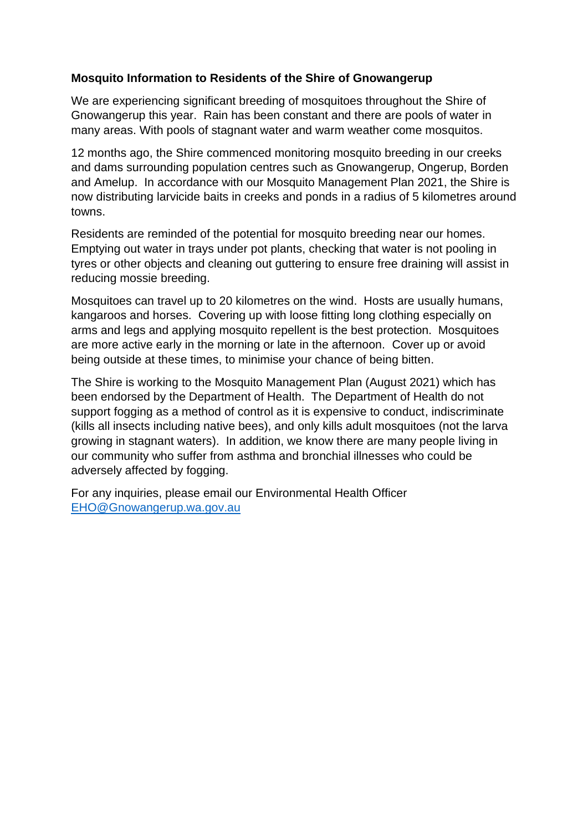## **Mosquito Information to Residents of the Shire of Gnowangerup**

We are experiencing significant breeding of mosquitoes throughout the Shire of Gnowangerup this year. Rain has been constant and there are pools of water in many areas. With pools of stagnant water and warm weather come mosquitos.

12 months ago, the Shire commenced monitoring mosquito breeding in our creeks and dams surrounding population centres such as Gnowangerup, Ongerup, Borden and Amelup. In accordance with our Mosquito Management Plan 2021, the Shire is now distributing larvicide baits in creeks and ponds in a radius of 5 kilometres around towns.

Residents are reminded of the potential for mosquito breeding near our homes. Emptying out water in trays under pot plants, checking that water is not pooling in tyres or other objects and cleaning out guttering to ensure free draining will assist in reducing mossie breeding.

Mosquitoes can travel up to 20 kilometres on the wind. Hosts are usually humans, kangaroos and horses. Covering up with loose fitting long clothing especially on arms and legs and applying mosquito repellent is the best protection. Mosquitoes are more active early in the morning or late in the afternoon. Cover up or avoid being outside at these times, to minimise your chance of being bitten.

The Shire is working to the Mosquito Management Plan (August 2021) which has been endorsed by the Department of Health. The Department of Health do not support fogging as a method of control as it is expensive to conduct, indiscriminate (kills all insects including native bees), and only kills adult mosquitoes (not the larva growing in stagnant waters). In addition, we know there are many people living in our community who suffer from asthma and bronchial illnesses who could be adversely affected by fogging.

For any inquiries, please email our Environmental Health Officer [EHO@Gnowangerup.wa.gov.au](mailto:EHO@Gnowangerup.wa.gov.au)